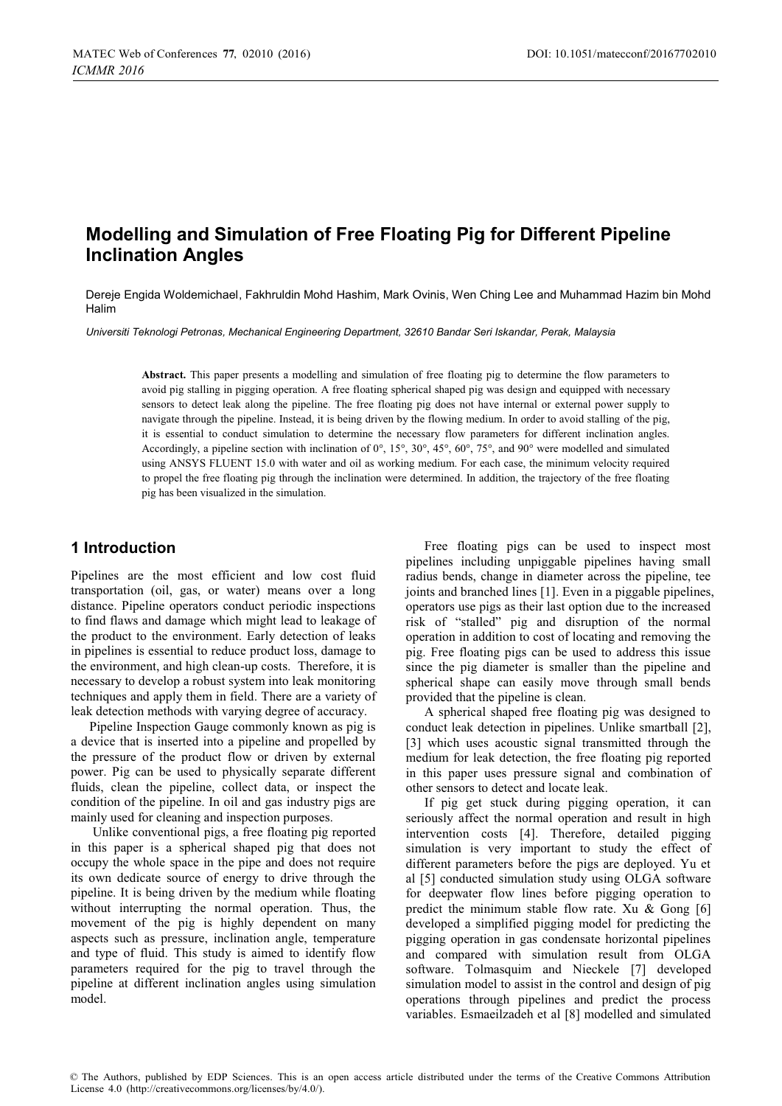# **Modelling and Simulation of Free Floating Pig for Different Pipeline Inclination Angles**

Dereje Engida Woldemichael, Fakhruldin Mohd Hashim, Mark Ovinis, Wen Ching Lee and Muhammad Hazim bin Mohd Halim

*Universiti Teknologi Petronas, Mechanical Engineering Department, 32610 Bandar Seri Iskandar, Perak, Malaysia* 

**Abstract.** This paper presents a modelling and simulation of free floating pig to determine the flow parameters to avoid pig stalling in pigging operation. A free floating spherical shaped pig was design and equipped with necessary sensors to detect leak along the pipeline. The free floating pig does not have internal or external power supply to navigate through the pipeline. Instead, it is being driven by the flowing medium. In order to avoid stalling of the pig, it is essential to conduct simulation to determine the necessary flow parameters for different inclination angles. Accordingly, a pipeline section with inclination of 0°, 15°, 30°, 45°, 60°, 75°, and 90° were modelled and simulated using ANSYS FLUENT 15.0 with water and oil as working medium. For each case, the minimum velocity required to propel the free floating pig through the inclination were determined. In addition, the trajectory of the free floating pig has been visualized in the simulation.

### **1 Introduction**

Pipelines are the most efficient and low cost fluid transportation (oil, gas, or water) means over a long distance. Pipeline operators conduct periodic inspections to find flaws and damage which might lead to leakage of the product to the environment. Early detection of leaks in pipelines is essential to reduce product loss, damage to the environment, and high clean-up costs. Therefore, it is necessary to develop a robust system into leak monitoring techniques and apply them in field. There are a variety of leak detection methods with varying degree of accuracy.

Pipeline Inspection Gauge commonly known as pig is a device that is inserted into a pipeline and propelled by the pressure of the product flow or driven by external power. Pig can be used to physically separate different fluids, clean the pipeline, collect data, or inspect the condition of the pipeline. In oil and gas industry pigs are mainly used for cleaning and inspection purposes.

 Unlike conventional pigs, a free floating pig reported in this paper is a spherical shaped pig that does not occupy the whole space in the pipe and does not require its own dedicate source of energy to drive through the pipeline. It is being driven by the medium while floating without interrupting the normal operation. Thus, the movement of the pig is highly dependent on many aspects such as pressure, inclination angle, temperature and type of fluid. This study is aimed to identify flow parameters required for the pig to travel through the pipeline at different inclination angles using simulation model.

Free floating pigs can be used to inspect most pipelines including unpiggable pipelines having small radius bends, change in diameter across the pipeline, tee joints and branched lines [1]. Even in a piggable pipelines, operators use pigs as their last option due to the increased risk of "stalled" pig and disruption of the normal operation in addition to cost of locating and removing the pig. Free floating pigs can be used to address this issue since the pig diameter is smaller than the pipeline and spherical shape can easily move through small bends provided that the pipeline is clean.

A spherical shaped free floating pig was designed to conduct leak detection in pipelines. Unlike smartball [2], [3] which uses acoustic signal transmitted through the medium for leak detection, the free floating pig reported in this paper uses pressure signal and combination of other sensors to detect and locate leak.

If pig get stuck during pigging operation, it can seriously affect the normal operation and result in high intervention costs [4]. Therefore, detailed pigging simulation is very important to study the effect of different parameters before the pigs are deployed. Yu et al [5] conducted simulation study using OLGA software for deepwater flow lines before pigging operation to predict the minimum stable flow rate. Xu  $&$  Gong [6] developed a simplified pigging model for predicting the pigging operation in gas condensate horizontal pipelines and compared with simulation result from OLGA software. Tolmasquim and Nieckele [7] developed simulation model to assist in the control and design of pig operations through pipelines and predict the process variables. Esmaeilzadeh et al [8] modelled and simulated

© The Authors, published by EDP Sciences. This is an open access article distributed under the terms of the Creative Commons Attribution License 4.0 (http://creativecommons.org/licenses/by/4.0/).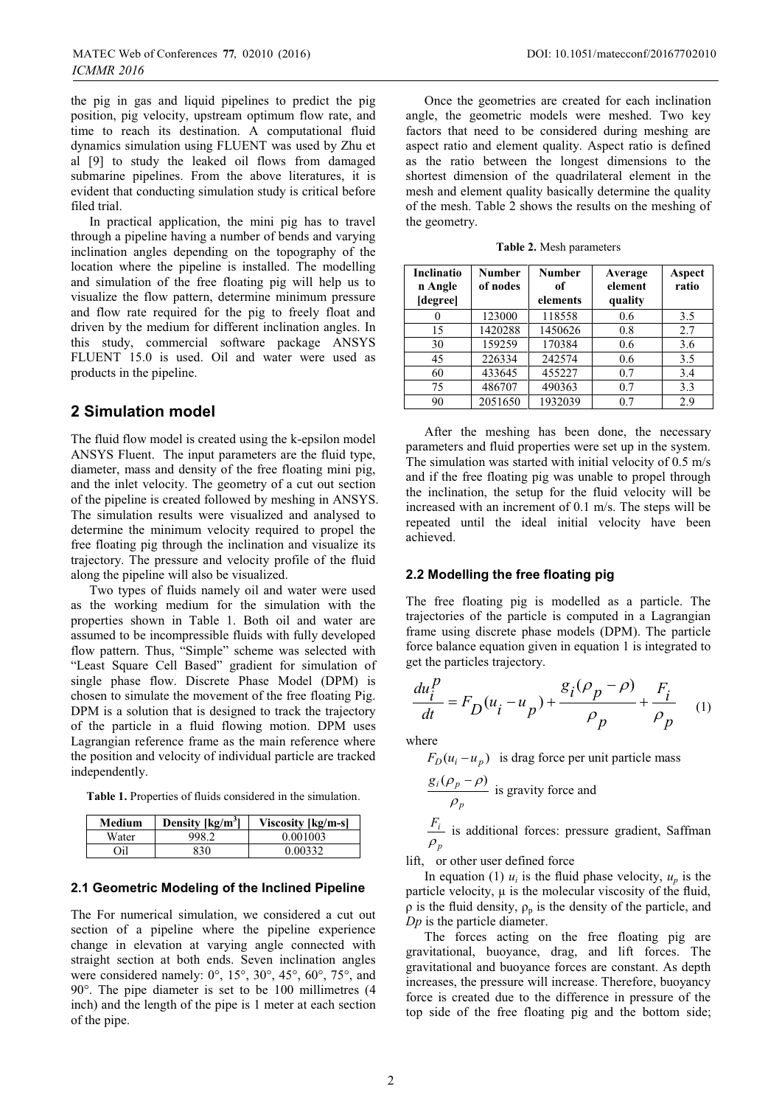the pig in gas and liquid pipelines to predict the pig position, pig velocity, upstream optimum flow rate, and time to reach its destination. A computational fluid dynamics simulation using FLUENT was used by Zhu et al [9] to study the leaked oil flows from damaged submarine pipelines. From the above literatures, it is evident that conducting simulation study is critical before filed trial.

In practical application, the mini pig has to travel through a pipeline having a number of bends and varying inclination angles depending on the topography of the location where the pipeline is installed. The modelling and simulation of the free floating pig will help us to visualize the flow pattern, determine minimum pressure and flow rate required for the pig to freely float and driven by the medium for different inclination angles. In this study, commercial software package ANSYS FLUENT 15.0 is used. Oil and water were used as products in the pipeline.

### **2 Simulation model**

The fluid flow model is created using the k-epsilon model ANSYS Fluent. The input parameters are the fluid type, diameter, mass and density of the free floating mini pig, and the inlet velocity. The geometry of a cut out section of the pipeline is created followed by meshing in ANSYS. The simulation results were visualized and analysed to determine the minimum velocity required to propel the free floating pig through the inclination and visualize its trajectory. The pressure and velocity profile of the fluid along the pipeline will also be visualized.

Two types of fluids namely oil and water were used as the working medium for the simulation with the properties shown in Table 1. Both oil and water are assumed to be incompressible fluids with fully developed flow pattern. Thus, "Simple" scheme was selected with "Least Square Cell Based" gradient for simulation of single phase flow. Discrete Phase Model (DPM) is chosen to simulate the movement of the free floating Pig. DPM is a solution that is designed to track the trajectory of the particle in a fluid flowing motion. DPM uses Lagrangian reference frame as the main reference where the position and velocity of individual particle are tracked independently.

**Table 1.** Properties of fluids considered in the simulation.

| Medium | Density $\lceil \text{kg/m}^3 \rceil$ | Viscosity [kg/m-s] |
|--------|---------------------------------------|--------------------|
| Water  | 998.2                                 | 0.001003           |
| Oil    | 830                                   | 0.00332            |

#### **2.1 Geometric Modeling of the Inclined Pipeline**

The For numerical simulation, we considered a cut out section of a pipeline where the pipeline experience change in elevation at varying angle connected with straight section at both ends. Seven inclination angles were considered namely: 0°, 15°, 30°, 45°, 60°, 75°, and 90°. The pipe diameter is set to be 100 millimetres (4 inch) and the length of the pipe is 1 meter at each section of the pipe.

Once the geometries are created for each inclination angle, the geometric models were meshed. Two key factors that need to be considered during meshing are aspect ratio and element quality. Aspect ratio is defined as the ratio between the longest dimensions to the shortest dimension of the quadrilateral element in the mesh and element quality basically determine the quality of the mesh. Table 2 shows the results on the meshing of the geometry.

**Table 2.** Mesh parameters

| <b>Inclinatio</b><br>n Angle<br>[degree] | Number<br>of nodes | Number<br>оf<br>elements | Average<br>element<br>quality | Aspect<br>ratio |
|------------------------------------------|--------------------|--------------------------|-------------------------------|-----------------|
|                                          | 123000             | 118558                   | 0.6                           | 3.5             |
| 15                                       | 1420288            | 1450626                  | 0.8                           | 2.7             |
| 30                                       | 159259             | 170384                   | 0.6                           | 3.6             |
| 45                                       | 226334             | 242574                   | 0.6                           | 3.5             |
| 60                                       | 433645             | 455227                   | 0.7                           | 3.4             |
| 75                                       | 486707             | 490363                   | 0.7                           | 3.3             |
| 90                                       | 2051650            | 1932039                  | 0.7                           | 2.9             |

After the meshing has been done, the necessary parameters and fluid properties were set up in the system. The simulation was started with initial velocity of 0.5 m/s and if the free floating pig was unable to propel through the inclination, the setup for the fluid velocity will be increased with an increment of 0.1 m/s. The steps will be repeated until the ideal initial velocity have been achieved.

#### **2.2 Modelling the free floating pig**

The free floating pig is modelled as a particle. The trajectories of the particle is computed in a Lagrangian frame using discrete phase models (DPM). The particle force balance equation given in equation 1 is integrated to get the particles trajectory.

$$
\frac{du_i^p}{dt} = F_D(u_i - u_p) + \frac{g_i(\rho_p - \rho)}{\rho_p} + \frac{F_i}{\rho_p}
$$
 (1)

where

 $F_D(u_i - u_n)$  is drag force per unit particle mass  $g_i(\rho_p)$  $\frac{(\rho_p - \rho)}{\rho}$  is gravity force and

$$
\frac{F_i}{\rho_p}
$$
 is additional forces: pressure gradient, Saffman

lift, or other user defined force

*p*

 $\rho$ 

In equation (1)  $u_i$  is the fluid phase velocity,  $u_n$  is the particle velocity, μ is the molecular viscosity of the fluid,  $ρ$  is the fluid density,  $ρ<sub>p</sub>$  is the density of the particle, and *Dp* is the particle diameter.

The forces acting on the free floating pig are gravitational, buoyance, drag, and lift forces. The gravitational and buoyance forces are constant. As depth increases, the pressure will increase. Therefore, buoyancy force is created due to the difference in pressure of the top side of the free floating pig and the bottom side;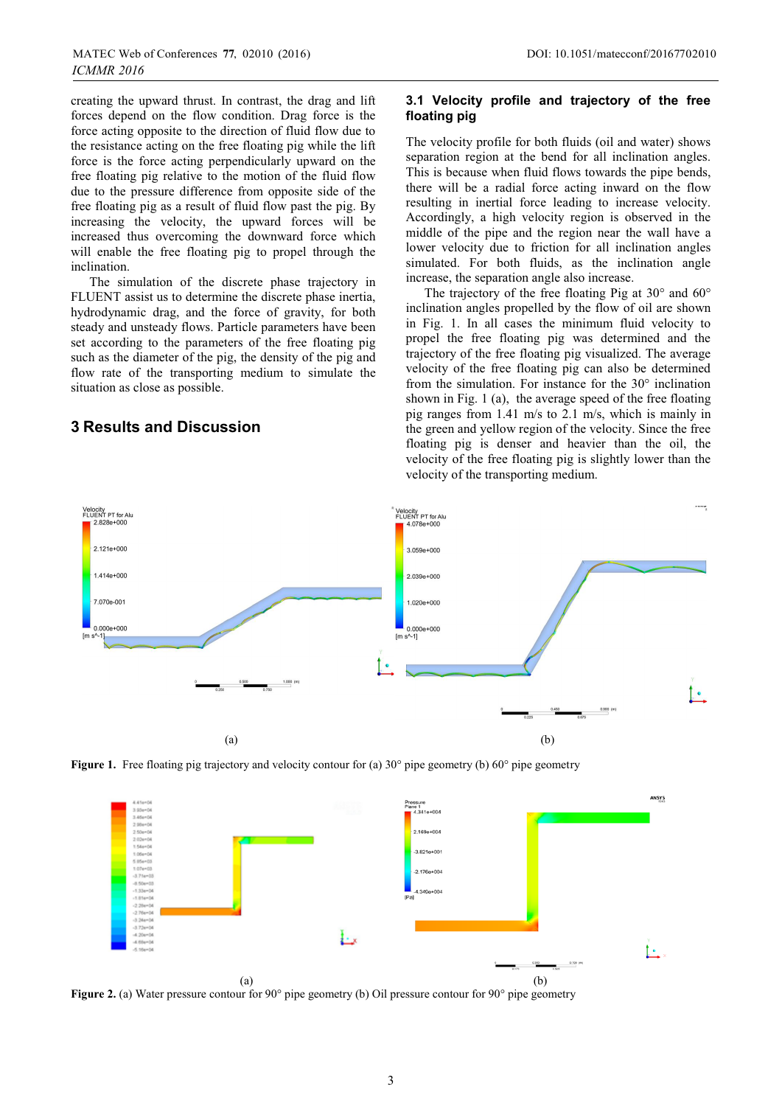creating the upward thrust. In contrast, the drag and lift forces depend on the flow condition. Drag force is the force acting opposite to the direction of fluid flow due to the resistance acting on the free floating pig while the lift force is the force acting perpendicularly upward on the free floating pig relative to the motion of the fluid flow due to the pressure difference from opposite side of the free floating pig as a result of fluid flow past the pig. By increasing the velocity, the upward forces will be increased thus overcoming the downward force which will enable the free floating pig to propel through the inclination.

The simulation of the discrete phase trajectory in FLUENT assist us to determine the discrete phase inertia, hydrodynamic drag, and the force of gravity, for both steady and unsteady flows. Particle parameters have been set according to the parameters of the free floating pig such as the diameter of the pig, the density of the pig and flow rate of the transporting medium to simulate the situation as close as possible.

### **3 Results and Discussion**

#### **3.1 Velocity profile and trajectory of the free floating pig**

The velocity profile for both fluids (oil and water) shows separation region at the bend for all inclination angles. This is because when fluid flows towards the pipe bends, there will be a radial force acting inward on the flow resulting in inertial force leading to increase velocity. Accordingly, a high velocity region is observed in the middle of the pipe and the region near the wall have a lower velocity due to friction for all inclination angles simulated. For both fluids, as the inclination angle increase, the separation angle also increase.

The trajectory of the free floating Pig at 30° and 60° inclination angles propelled by the flow of oil are shown in Fig. 1. In all cases the minimum fluid velocity to propel the free floating pig was determined and the trajectory of the free floating pig visualized. The average velocity of the free floating pig can also be determined from the simulation. For instance for the 30° inclination shown in Fig. 1 (a), the average speed of the free floating pig ranges from 1.41 m/s to 2.1 m/s, which is mainly in the green and yellow region of the velocity. Since the free floating pig is denser and heavier than the oil, the velocity of the free floating pig is slightly lower than the velocity of the transporting medium.







**Figure 2.** (a) Water pressure contour for 90° pipe geometry (b) Oil pressure contour for 90° pipe geometry